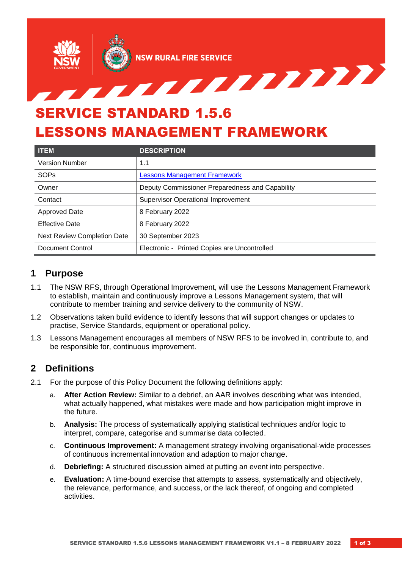

# LESSONS MANAGEMENT FRAMEWORK

| <b>ITEM</b>                        | <b>DESCRIPTION</b>                              |
|------------------------------------|-------------------------------------------------|
| <b>Version Number</b>              | 1.1                                             |
| SOPs                               | <b>Lessons Management Framework</b>             |
| Owner                              | Deputy Commissioner Preparedness and Capability |
| Contact                            | <b>Supervisor Operational Improvement</b>       |
| Approved Date                      | 8 February 2022                                 |
| <b>Effective Date</b>              | 8 February 2022                                 |
| <b>Next Review Completion Date</b> | 30 September 2023                               |
| Document Control                   | Electronic - Printed Copies are Uncontrolled    |

### **1 Purpose**

- 1.1 The NSW RFS, through Operational Improvement, will use the Lessons Management Framework to establish, maintain and continuously improve a Lessons Management system, that will contribute to member training and service delivery to the community of NSW.
- 1.2 Observations taken build evidence to identify lessons that will support changes or updates to practise, Service Standards, equipment or operational policy.
- 1.3 Lessons Management encourages all members of NSW RFS to be involved in, contribute to, and be responsible for, continuous improvement.

## **2 Definitions**

- 2.1 For the purpose of this Policy Document the following definitions apply:
	- a. **After Action Review:** Similar to a debrief, an AAR involves describing what was intended, what actually happened, what mistakes were made and how participation might improve in the future.
	- b. **Analysis:** The process of systematically applying statistical techniques and/or logic to interpret, compare, categorise and summarise data collected.
	- c. **Continuous Improvement:** A management strategy involving organisational-wide processes of continuous incremental innovation and adaption to major change.
	- d. **Debriefing:** A structured discussion aimed at putting an event into perspective.
	- e. **Evaluation:** A time-bound exercise that attempts to assess, systematically and objectively, the relevance, performance, and success, or the lack thereof, of ongoing and completed activities.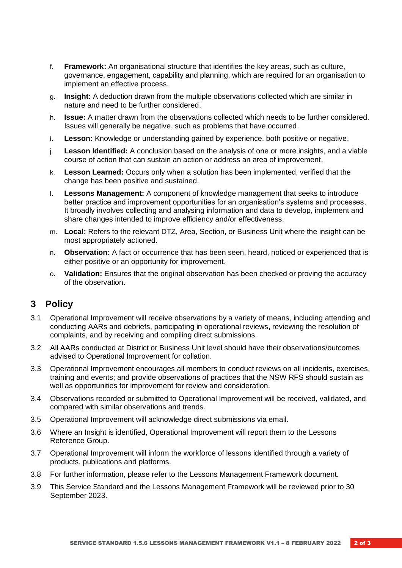- f. **Framework:** An organisational structure that identifies the key areas, such as culture, governance, engagement, capability and planning, which are required for an organisation to implement an effective process.
- g. **Insight:** A deduction drawn from the multiple observations collected which are similar in nature and need to be further considered.
- h. **Issue:** A matter drawn from the observations collected which needs to be further considered. Issues will generally be negative, such as problems that have occurred.
- i. **Lesson:** Knowledge or understanding gained by experience, both positive or negative.
- j. **Lesson Identified:** A conclusion based on the analysis of one or more insights, and a viable course of action that can sustain an action or address an area of improvement.
- k. **Lesson Learned:** Occurs only when a solution has been implemented, verified that the change has been positive and sustained.
- l. **Lessons Management:** A component of knowledge management that seeks to introduce better practice and improvement opportunities for an organisation's systems and processes. It broadly involves collecting and analysing information and data to develop, implement and share changes intended to improve efficiency and/or effectiveness.
- m. **Local:** Refers to the relevant DTZ, Area, Section, or Business Unit where the insight can be most appropriately actioned.
- n. **Observation:** A fact or occurrence that has been seen, heard, noticed or experienced that is either positive or an opportunity for improvement.
- o. **Validation:** Ensures that the original observation has been checked or proving the accuracy of the observation.

#### **3 Policy**

- 3.1 Operational Improvement will receive observations by a variety of means, including attending and conducting AARs and debriefs, participating in operational reviews, reviewing the resolution of complaints, and by receiving and compiling direct submissions.
- 3.2 All AARs conducted at District or Business Unit level should have their observations/outcomes advised to Operational Improvement for collation.
- 3.3 Operational Improvement encourages all members to conduct reviews on all incidents, exercises, training and events; and provide observations of practices that the NSW RFS should sustain as well as opportunities for improvement for review and consideration.
- 3.4 Observations recorded or submitted to Operational Improvement will be received, validated, and compared with similar observations and trends.
- 3.5 Operational Improvement will acknowledge direct submissions via email.
- 3.6 Where an Insight is identified, Operational Improvement will report them to the Lessons Reference Group.
- 3.7 Operational Improvement will inform the workforce of lessons identified through a variety of products, publications and platforms.
- 3.8 For further information, please refer to the Lessons Management Framework document.
- 3.9 This Service Standard and the Lessons Management Framework will be reviewed prior to 30 September 2023.